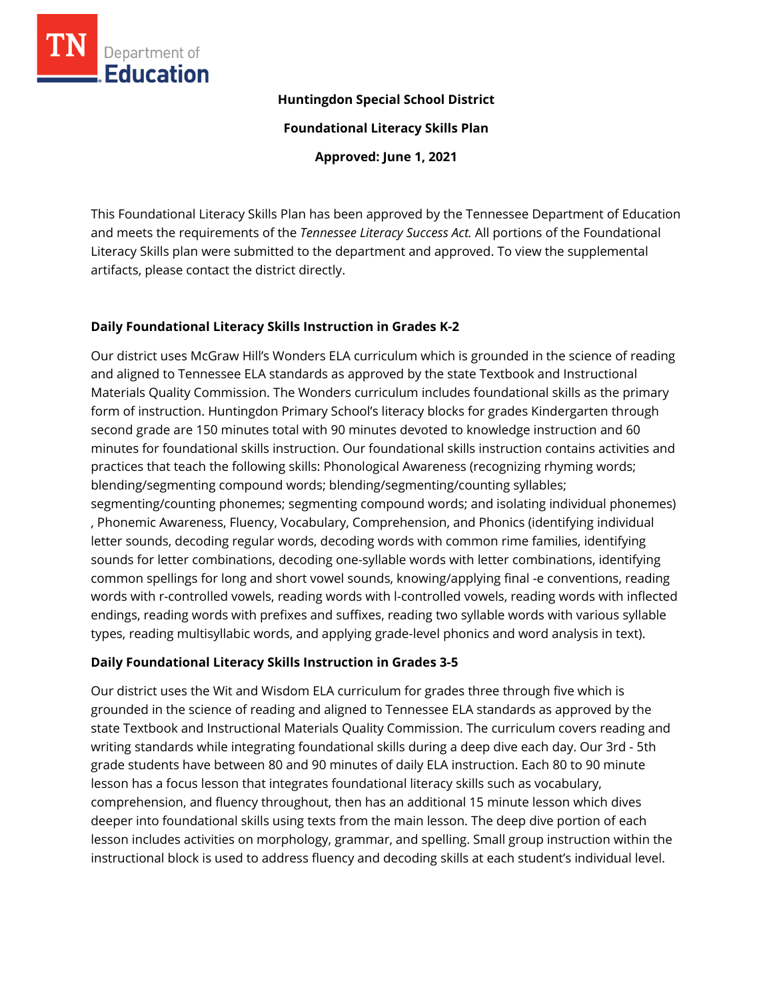

### **Huntingdon Special School District**

**Foundational Literacy Skills Plan**

**Approved: June 1, 2021**

This Foundational Literacy Skills Plan has been approved by the Tennessee Department of Education and meets the requirements of the *Tennessee Literacy Success Act.* All portions of the Foundational Literacy Skills plan were submitted to the department and approved. To view the supplemental artifacts, please contact the district directly.

## **Daily Foundational Literacy Skills Instruction in Grades K-2**

Our district uses McGraw Hill's Wonders ELA curriculum which is grounded in the science of reading and aligned to Tennessee ELA standards as approved by the state Textbook and Instructional Materials Quality Commission. The Wonders curriculum includes foundational skills as the primary form of instruction. Huntingdon Primary School's literacy blocks for grades Kindergarten through second grade are 150 minutes total with 90 minutes devoted to knowledge instruction and 60 minutes for foundational skills instruction. Our foundational skills instruction contains activities and practices that teach the following skills: Phonological Awareness (recognizing rhyming words; blending/segmenting compound words; blending/segmenting/counting syllables; segmenting/counting phonemes; segmenting compound words; and isolating individual phonemes) , Phonemic Awareness, Fluency, Vocabulary, Comprehension, and Phonics (identifying individual letter sounds, decoding regular words, decoding words with common rime families, identifying sounds for letter combinations, decoding one-syllable words with letter combinations, identifying common spellings for long and short vowel sounds, knowing/applying final -e conventions, reading words with r-controlled vowels, reading words with l-controlled vowels, reading words with inflected endings, reading words with prefixes and suffixes, reading two syllable words with various syllable types, reading multisyllabic words, and applying grade-level phonics and word analysis in text).

# **Daily Foundational Literacy Skills Instruction in Grades 3-5**

Our district uses the Wit and Wisdom ELA curriculum for grades three through five which is grounded in the science of reading and aligned to Tennessee ELA standards as approved by the state Textbook and Instructional Materials Quality Commission. The curriculum covers reading and writing standards while integrating foundational skills during a deep dive each day. Our 3rd - 5th grade students have between 80 and 90 minutes of daily ELA instruction. Each 80 to 90 minute lesson has a focus lesson that integrates foundational literacy skills such as vocabulary, comprehension, and fluency throughout, then has an additional 15 minute lesson which dives deeper into foundational skills using texts from the main lesson. The deep dive portion of each lesson includes activities on morphology, grammar, and spelling. Small group instruction within the instructional block is used to address fluency and decoding skills at each student's individual level.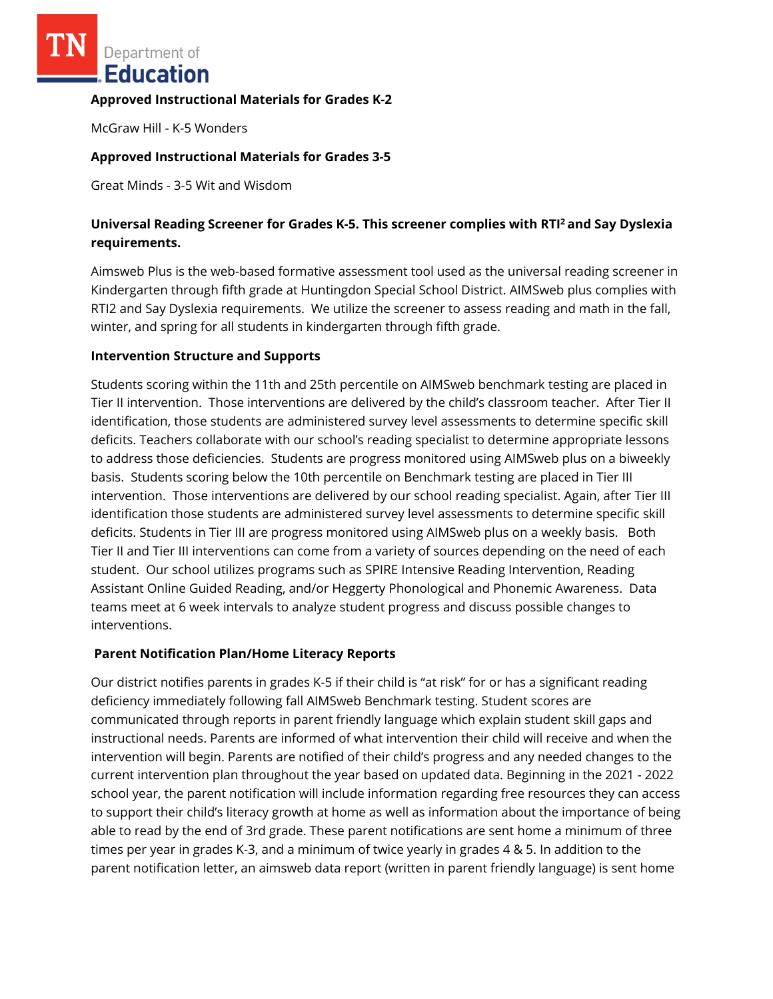Department of Education

### **Approved Instructional Materials for Grades K-2**

McGraw Hill - K-5 Wonders

## **Approved Instructional Materials for Grades 3-5**

Great Minds - 3-5 Wit and Wisdom

# **Universal Reading Screener for Grades K-5. This screener complies with RTI<sup>2</sup>and Say Dyslexia requirements.**

Aimsweb Plus is the web-based formative assessment tool used as the universal reading screener in Kindergarten through fifth grade at Huntingdon Special School District. AIMSweb plus complies with RTI2 and Say Dyslexia requirements. We utilize the screener to assess reading and math in the fall, winter, and spring for all students in kindergarten through fifth grade.

### **Intervention Structure and Supports**

Students scoring within the 11th and 25th percentile on AIMSweb benchmark testing are placed in Tier II intervention. Those interventions are delivered by the child's classroom teacher. After Tier II identification, those students are administered survey level assessments to determine specific skill deficits. Teachers collaborate with our school's reading specialist to determine appropriate lessons to address those deficiencies. Students are progress monitored using AIMSweb plus on a biweekly basis. Students scoring below the 10th percentile on Benchmark testing are placed in Tier III intervention. Those interventions are delivered by our school reading specialist. Again, after Tier III identification those students are administered survey level assessments to determine specific skill deficits. Students in Tier III are progress monitored using AIMSweb plus on a weekly basis. Both Tier II and Tier III interventions can come from a variety of sources depending on the need of each student. Our school utilizes programs such as SPIRE Intensive Reading Intervention, Reading Assistant Online Guided Reading, and/or Heggerty Phonological and Phonemic Awareness. Data teams meet at 6 week intervals to analyze student progress and discuss possible changes to interventions.

## **Parent Notification Plan/Home Literacy Reports**

Our district notifies parents in grades K-5 if their child is "at risk" for or has a significant reading deficiency immediately following fall AIMSweb Benchmark testing. Student scores are communicated through reports in parent friendly language which explain student skill gaps and instructional needs. Parents are informed of what intervention their child will receive and when the intervention will begin. Parents are notified of their child's progress and any needed changes to the current intervention plan throughout the year based on updated data. Beginning in the 2021 - 2022 school year, the parent notification will include information regarding free resources they can access to support their child's literacy growth at home as well as information about the importance of being able to read by the end of 3rd grade. These parent notifications are sent home a minimum of three times per year in grades K-3, and a minimum of twice yearly in grades 4 & 5. In addition to the parent notification letter, an aimsweb data report (written in parent friendly language) is sent home